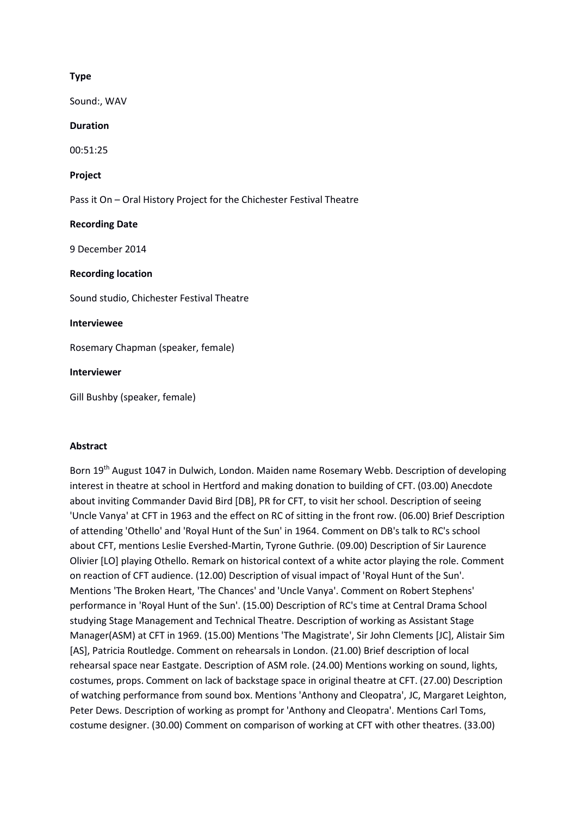# **Type**

Sound:, WAV

### **Duration**

00:51:25

### **Project**

Pass it On – Oral History Project for the Chichester Festival Theatre

## **Recording Date**

9 December 2014

### **Recording location**

Sound studio, Chichester Festival Theatre

### **Interviewee**

Rosemary Chapman (speaker, female)

**Interviewer**

Gill Bushby (speaker, female)

## **Abstract**

Born 19<sup>th</sup> August 1047 in Dulwich, London. Maiden name Rosemary Webb. Description of developing interest in theatre at school in Hertford and making donation to building of CFT. (03.00) Anecdote about inviting Commander David Bird [DB], PR for CFT, to visit her school. Description of seeing 'Uncle Vanya' at CFT in 1963 and the effect on RC of sitting in the front row. (06.00) Brief Description of attending 'Othello' and 'Royal Hunt of the Sun' in 1964. Comment on DB's talk to RC's school about CFT, mentions Leslie Evershed-Martin, Tyrone Guthrie. (09.00) Description of Sir Laurence Olivier [LO] playing Othello. Remark on historical context of a white actor playing the role. Comment on reaction of CFT audience. (12.00) Description of visual impact of 'Royal Hunt of the Sun'. Mentions 'The Broken Heart, 'The Chances' and 'Uncle Vanya'. Comment on Robert Stephens' performance in 'Royal Hunt of the Sun'. (15.00) Description of RC's time at Central Drama School studying Stage Management and Technical Theatre. Description of working as Assistant Stage Manager(ASM) at CFT in 1969. (15.00) Mentions 'The Magistrate', Sir John Clements [JC], Alistair Sim [AS], Patricia Routledge. Comment on rehearsals in London. (21.00) Brief description of local rehearsal space near Eastgate. Description of ASM role. (24.00) Mentions working on sound, lights, costumes, props. Comment on lack of backstage space in original theatre at CFT. (27.00) Description of watching performance from sound box. Mentions 'Anthony and Cleopatra', JC, Margaret Leighton, Peter Dews. Description of working as prompt for 'Anthony and Cleopatra'. Mentions Carl Toms, costume designer. (30.00) Comment on comparison of working at CFT with other theatres. (33.00)